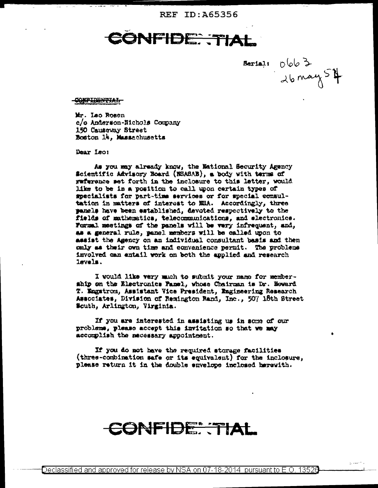REF ID: A65356

**SNFIDE: TIAL** 

 $\frac{1}{2}$  Barsail  $0663$ 

## <del>-conpidential</del>

Mr. Leo Rosen c/o Anderson-Nichols Company 150 Causeway Street Boston 14, Massachusetts

Dear Leoi

As you may already know, the National Security Agency Scientific Advisory Board (NSASAB), a body with terms of raference set forth in the inclosure to this letter, would like to be in a position to call upon certain types of specialists for part-time services or for special consultation in matters of interest to MSA. Accordingly, three panels have been established, devoted respectively to the fields of mathematics, telecommunications, and electronics. Formal meetings of the panels will be very infrequent, and, as a general rule, panel members will be called upon to assist the Agency on an individual consultant basis and then only as their own time and convenience permit. The problems involved can entail work on both the applied and research lavels.

I would like very much to submit your mame for membership on the Electronics Panel, whose Chairman is Dr. Howard T. Engatrom, Assistant Vice President, Engineering Research Associates, Division of Remington Rand, Inc., 507 18th Street South, Arlington, Virginia.

If you are interested in assisting us in some of our problems, please accept this invitation so that we may accomplish the mecessary appointment.

If you do not have the required storage facilities (three-combination safe or its equivalent) for the inclosure, please return it in the double envelope inclosed herewith.

## CONFIDE: TIAL